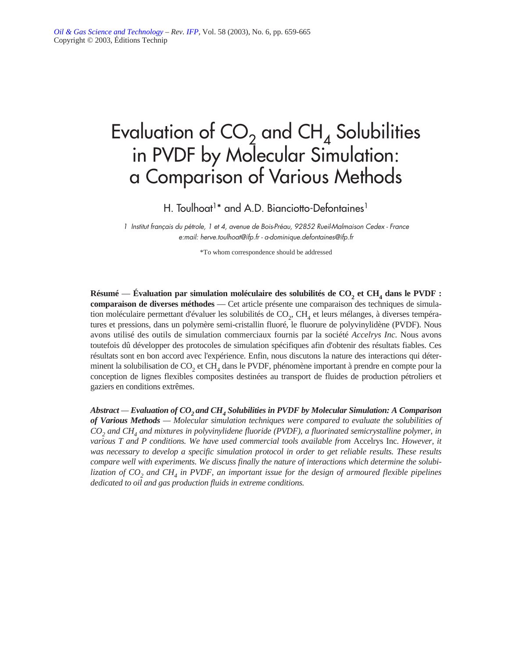# Evaluation of  $CO_2$  and  $CH_4$  Solubilities in PVDF by Molecular Simulation: a Comparison of Various Methods

H. Toulhoat<sup>1\*</sup> and A.D. Bianciotto-Defontaines<sup>1</sup>

*1 Institut français du pétrole, 1 et 4, avenue de Bois-Préau, 92852 Rueil-Malmaison Cedex - France e:mail: herve.toulhoat@ifp.fr - a-dominique.defontaines@ifp.fr*

\*To whom correspondence should be addressed

**Résumé — Évaluation par simulation moléculaire des solubilités de CO<sub>2</sub> et CH<sub>4</sub> dans le PVDF : comparaison de diverses méthodes** — Cet article présente une comparaison des techniques de simulation moléculaire permettant d'évaluer les solubilités de  $CO<sub>2</sub>$ , CH<sub>4</sub> et leurs mélanges, à diverses températures et pressions, dans un polymère semi-cristallin fluoré, le fluorure de polyvinylidène (PVDF). Nous avons utilisé des outils de simulation commerciaux fournis par la société *Accelrys Inc.* Nous avons toutefois dû développer des protocoles de simulation spécifiques afin d'obtenir des résultats fiables. Ces résultats sont en bon accord avec l'expérience. Enfin, nous discutons la nature des interactions qui déterminent la solubilisation de  $CO<sub>2</sub>$  et CH<sub>4</sub> dans le PVDF, phénomène important à prendre en compte pour la conception de lignes flexibles composites destinées au transport de fluides de production pétroliers et gaziers en conditions extrêmes.

*Abstract — Evaluation of CO<sub>2</sub> and CH<sub>4</sub> Solubilities in PVDF by Molecular Simulation: A Comparison of Various Methods — Molecular simulation techniques were compared to evaluate the solubilities of CO2 and CH4 and mixtures in polyvinylidene fluoride (PVDF), a fluorinated semicrystalline polymer, in various T and P conditions. We have used commercial tools available from Accelrys Inc. However, it was necessary to develop a specific simulation protocol in order to get reliable results. These results compare well with experiments. We discuss finally the nature of interactions which determine the solubilization of CO2 and CH4 in PVDF, an important issue for the design of armoured flexible pipelines dedicated to oil and gas production fluids in extreme conditions.*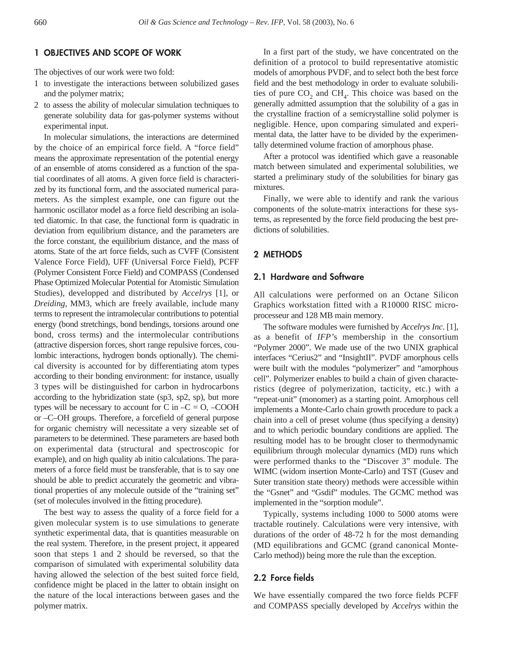# **1 OBJECTIVES AND SCOPE OF WORK**

The objectives of our work were two fold:

- 1 to investigate the interactions between solubilized gases and the polymer matrix;
- 2 to assess the ability of molecular simulation techniques to generate solubility data for gas-polymer systems without experimental input.

In molecular simulations, the interactions are determined by the choice of an empirical force field. A "force field" means the approximate representation of the potential energy of an ensemble of atoms considered as a function of the spatial coordinates of all atoms. A given force field is characterized by its functional form, and the associated numerical parameters. As the simplest example, one can figure out the harmonic oscillator model as a force field describing an isolated diatomic. In that case, the functional form is quadratic in deviation from equilibrium distance, and the parameters are the force constant, the equilibrium distance, and the mass of atoms. State of the art force fields, such as CVFF (Consistent Valence Force Field), UFF (Universal Force Field), PCFF (Polymer Consistent Force Field) and COMPASS (Condensed Phase Optimized Molecular Potential for Atomistic Simulation Studies), developped and distributed by *Accelrys* [1], or *Dreiding,* MM3, which are freely available, include many terms to represent the intramolecular contributions to potential energy (bond stretchings, bond bendings, torsions around one bond, cross terms) and the intermolecular contributions (attractive dispersion forces, short range repulsive forces, coulombic interactions, hydrogen bonds optionally). The chemical diversity is accounted for by differentiating atom types according to their bonding environment: for instance, usually 3 types will be distinguished for carbon in hydrocarbons according to the hybridization state (sp3, sp2, sp), but more types will be necessary to account for C in  $-C = 0$ ,  $-COOH$ or –C–OH groups. Therefore, a forcefield of general purpose for organic chemistry will necessitate a very sizeable set of parameters to be determined. These parameters are based both on experimental data (structural and spectroscopic for example), and on high quality ab initio calculations. The parameters of a force field must be transferable, that is to say one should be able to predict accurately the geometric and vibrational properties of any molecule outside of the "training set" (set of molecules involved in the fitting procedure).

The best way to assess the quality of a force field for a given molecular system is to use simulations to generate synthetic experimental data, that is quantities measurable on the real system. Therefore, in the present project, it appeared soon that steps 1 and 2 should be reversed, so that the comparison of simulated with experimental solubility data having allowed the selection of the best suited force field, confidence might be placed in the latter to obtain insight on the nature of the local interactions between gases and the polymer matrix.

In a first part of the study, we have concentrated on the definition of a protocol to build representative atomistic models of amorphous PVDF, and to select both the best force field and the best methodology in order to evaluate solubilities of pure  $CO<sub>2</sub>$  and  $CH<sub>4</sub>$ . This choice was based on the generally admitted assumption that the solubility of a gas in the crystalline fraction of a semicrystalline solid polymer is negligible. Hence, upon comparing simulated and experimental data, the latter have to be divided by the experimentally determined volume fraction of amorphous phase.

After a protocol was identified which gave a reasonable match between simulated and experimental solubilities, we started a preliminary study of the solubilities for binary gas mixtures.

Finally, we were able to identify and rank the various components of the solute-matrix interactions for these systems, as represented by the force field producing the best predictions of solubilities.

## **2 METHODS**

# **2.1 Hardware and Software**

All calculations were performed on an Octane Silicon Graphics workstation fitted with a R10000 RISC microprocesseur and 128 MB main memory.

The software modules were furnished by *Accelrys Inc*. [1], as a benefit of *IFP'*s membership in the consortium "Polymer 2000". We made use of the two UNIX graphical interfaces "Cerius2" and "InsightII". PVDF amorphous cells were built with the modules "polymerizer" and "amorphous cell". Polymerizer enables to build a chain of given characteristics (degree of polymerization, tacticity, etc.) with a "repeat-unit" (monomer) as a starting point. Amorphous cell implements a Monte-Carlo chain growth procedure to pack a chain into a cell of preset volume (thus specifying a density) and to which periodic boundary conditions are applied. The resulting model has to be brought closer to thermodynamic equilibrium through molecular dynamics (MD) runs which were performed thanks to the "Discover 3" module. The WIMC (widom insertion Monte-Carlo) and TST (Gusev and Suter transition state theory) methods were accessible within the "Gsnet" and "Gsdif" modules. The GCMC method was implemented in the "sorption module".

Typically, systems including 1000 to 5000 atoms were tractable routinely. Calculations were very intensive, with durations of the order of 48-72 h for the most demanding (MD equilibrations and GCMC (grand canonical Monte-Carlo method)) being more the rule than the exception.

## **2.2 Force fields**

We have essentially compared the two force fields PCFF and COMPASS specially developed by *Accelrys* within the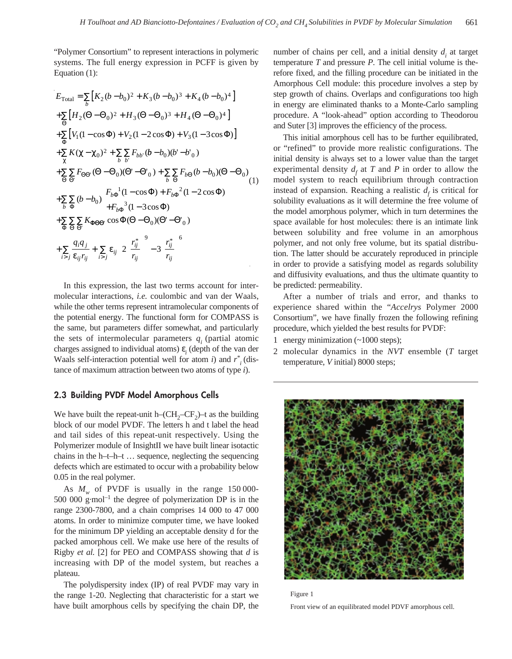"Polymer Consortium" to represent interactions in polymeric systems. The full energy expression in PCFF is given by Equation (1):

$$
E_{\text{Total}} = \sum_{b} \left[ K_{2} (b - b_{0})^{2} + K_{3} (b - b_{0})^{3} + K_{4} (b - b_{0})^{4} \right]
$$
  
+
$$
\sum_{\Theta} \left[ H_{2} (\Theta - \Theta_{0})^{2} + H_{3} (\Theta - \Theta_{0})^{3} + H_{4} (\Theta - \Theta_{0})^{4} \right]
$$
  
+
$$
\sum_{\Phi} \left[ V_{1} (1 - \cos \Phi) + V_{2} (1 - 2 \cos \Phi) + V_{3} (1 - 3 \cos \Phi) \right]
$$
  
+
$$
\sum_{\chi} K (\chi - \chi_{0})^{2} + \sum_{b} \sum_{b'} F_{bb'} (b - b_{0}) (b' - b'_{0})
$$
  
+
$$
\sum_{\Theta} \sum_{\Theta} F_{\Theta \Theta'} (\Theta - \Theta_{0}) (\Theta' - \Theta'_{0}) + \sum_{b} \sum_{\Theta} F_{b\Theta} (b - b_{0}) (\Theta - \Theta_{0})
$$
  
+
$$
\sum_{b} \sum_{\Phi} (b - b_{0}) \left[ F_{b\Phi}^{-1} (1 - \cos \Phi) + F_{b\Phi}^{-2} (1 - 2 \cos \Phi) \right]
$$
  
+
$$
\sum_{\Phi} \sum_{\Theta} \sum_{\Theta'} K_{\Phi \Theta \Theta'} \cos \Phi (\Theta - \Theta_{0}) (\Theta' - \Theta'_{0})
$$
  
+
$$
\sum_{\Theta} \frac{q_{i} q_{j}}{\Theta} + \sum_{\Theta} \varepsilon_{ij} \left[ 2 \left( \frac{r_{ij}^{*}}{r_{ij}} \right)^{9} - 3 \left( \frac{r_{ij}^{*}}{r_{ij}} \right)^{6} \right]
$$

In this expression, the last two terms account for intermolecular interactions, *i.e.* coulombic and van der Waals, while the other terms represent intramolecular components of the potential energy. The functional form for COMPASS is the same, but parameters differ somewhat, and particularly the sets of intermolecular parameters  $q_i$  (partial atomic charges assigned to individual atoms)  $\varepsilon$ <sub>*i*</sub> (depth of the van der Waals self-interaction potential well for atom *i*) and  $r^*$ <sub>*i*</sub> (distance of maximum attraction between two atoms of type *i*).

## **2.3 Building PVDF Model Amorphous Cells**

We have built the repeat-unit h– $CH_2-CF_2$ )–t as the building block of our model PVDF. The letters h and t label the head and tail sides of this repeat-unit respectively. Using the Polymerizer module of InsightII we have built linear isotactic chains in the h–t–h–t … sequence, neglecting the sequencing defects which are estimated to occur with a probability below 0.05 in the real polymer.

As  $M_{\nu}$  of PVDF is usually in the range 150 000-500 000 g·mol<sup>-1</sup> the degree of polymerization DP is in the range 2300-7800, and a chain comprises 14 000 to 47 000 atoms. In order to minimize computer time, we have looked for the minimum DP yielding an acceptable density d for the packed amorphous cell. We make use here of the results of Rigby *et al.* [2] for PEO and COMPASS showing that *d* is increasing with DP of the model system, but reaches a plateau.

The polydispersity index (IP) of real PVDF may vary in the range 1-20. Neglecting that characteristic for a start we have built amorphous cells by specifying the chain DP, the number of chains per cell, and a initial density  $d_i$ , at target temperature *T* and pressure *P*. The cell initial volume is therefore fixed, and the filling procedure can be initiated in the Amorphous Cell module: this procedure involves a step by step growth of chains. Overlaps and configurations too high in energy are eliminated thanks to a Monte-Carlo sampling procedure. A "look-ahead" option according to Theodorou and Suter [3] improves the efficiency of the process.

This initial amorphous cell has to be further equilibrated, or "refined" to provide more realistic configurations. The initial density is always set to a lower value than the target experimental density  $d_f$  at *T* and *P* in order to allow the model system to reach equilibrium through contraction instead of expansion. Reaching a realistic  $d_f$  is critical for solubility evaluations as it will determine the free volume of the model amorphous polymer, which in turn determines the space available for host molecules: there is an intimate link between solubility and free volume in an amorphous polymer, and not only free volume, but its spatial distribution. The latter should be accurately reproduced in principle in order to provide a satisfying model as regards solubility and diffusivity evaluations, and thus the ultimate quantity to be predicted: permeability.

After a number of trials and error, and thanks to experience shared within the "*Accelrys* Polymer 2000 Consortium", we have finally frozen the following refining procedure, which yielded the best results for PVDF:

1 energy minimization (~1000 steps);

2 molecular dynamics in the *NVT* ensemble (*T* target temperature, *V* initial) 8000 steps;



Figure 1

Front view of an equilibrated model PDVF amorphous cell.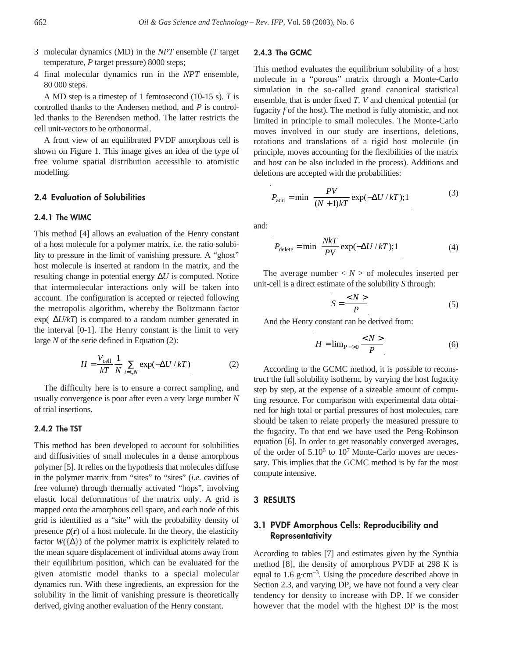- 3 molecular dynamics (MD) in the *NPT* ensemble (*T* target temperature, *P* target pressure) 8000 steps;
- 4 final molecular dynamics run in the *NPT* ensemble, 80 000 steps.

A MD step is a timestep of 1 femtosecond (10-15 s). *T* is controlled thanks to the Andersen method, and *P* is controlled thanks to the Berendsen method. The latter restricts the cell unit-vectors to be orthonormal.

A front view of an equilibrated PVDF amorphous cell is shown on Figure 1. This image gives an idea of the type of free volume spatial distribution accessible to atomistic modelling.

# **2.4 Evaluation of Solubilities**

#### **2.4.1 The WIMC**

This method [4] allows an evaluation of the Henry constant of a host molecule for a polymer matrix, *i.e.* the ratio solubility to pressure in the limit of vanishing pressure. A "ghost" host molecule is inserted at random in the matrix, and the resulting change in potential energy ∆*U* is computed. Notice that intermolecular interactions only will be taken into account. The configuration is accepted or rejected following the metropolis algorithm, whereby the Boltzmann factor exp(–∆*U/kT*) is compared to a random number generated in the interval [0-1]. The Henry constant is the limit to very large *N* of the serie defined in Equation (2):

$$
H = \frac{V_{\text{cell}}}{kT} \frac{1}{N} \sum_{i=1,N} \exp(-\Delta U / kT) \tag{2}
$$

The difficulty here is to ensure a correct sampling, and usually convergence is poor after even a very large number *N* of trial insertions.

## **2.4.2 The TST**

This method has been developed to account for solubilities and diffusivities of small molecules in a dense amorphous polymer [5]. It relies on the hypothesis that molecules diffuse in the polymer matrix from "sites" to "sites" (*i.e.* cavities of free volume) through thermally activated "hops", involving elastic local deformations of the matrix only. A grid is mapped onto the amorphous cell space, and each node of this grid is identified as a "site" with the probability density of presence  $\rho(\mathbf{r})$  of a host molecule. In the theory, the elasticity factor  $W({\{\Delta\}})$  of the polymer matrix is explicitely related to the mean square displacement of individual atoms away from their equilibrium position, which can be evaluated for the given atomistic model thanks to a special molecular dynamics run. With these ingredients, an expression for the solubility in the limit of vanishing pressure is theoretically derived, giving another evaluation of the Henry constant.

#### **2.4.3 The GCMC**

This method evaluates the equilibrium solubility of a host molecule in a "porous" matrix through a Monte-Carlo simulation in the so-called grand canonical statistical ensemble, that is under fixed *T, V* and chemical potential (or fugacity *f* of the host). The method is fully atomistic, and not limited in principle to small molecules. The Monte-Carlo moves involved in our study are insertions, deletions, rotations and translations of a rigid host molecule (in principle, moves accounting for the flexibilities of the matrix and host can be also included in the process). Additions and deletions are accepted with the probabilities:

$$
P_{\text{add}} = \min\left(\frac{PV}{(N+1)kT}\exp(-\Delta U/kT);1\right)
$$
 (3)

and:

$$
P_{\text{delete}} = \min\left(\frac{Nk}{PV} \exp(-\Delta U / kT); 1\right) \tag{4}
$$

The average number  $\langle N \rangle$  of molecules inserted per unit-cell is a direct estimate of the solubility *S* through:

$$
S = \frac{}{P}
$$
 (5)

And the Henry constant can be derived from:

$$
H = \lim_{P \to 0} \frac{}{P}
$$
 (6)

According to the GCMC method, it is possible to reconstruct the full solubility isotherm, by varying the host fugacity step by step, at the expense of a sizeable amount of computing resource. For comparison with experimental data obtained for high total or partial pressures of host molecules, care should be taken to relate properly the measured pressure to the fugacity. To that end we have used the Peng-Robinson equation [6]. In order to get reasonably converged averages, of the order of  $5.10^6$  to  $10^7$  Monte-Carlo moves are necessary. This implies that the GCMC method is by far the most compute intensive.

## **3 RESULTS**

# **3.1 PVDF Amorphous Cells: Reproducibility and Representativity**

According to tables [7] and estimates given by the Synthia method [8], the density of amorphous PVDF at 298 K is equal to 1.6 g·cm–3. Using the procedure described above in Section 2.3, and varying DP, we have not found a very clear tendency for density to increase with DP. If we consider however that the model with the highest DP is the most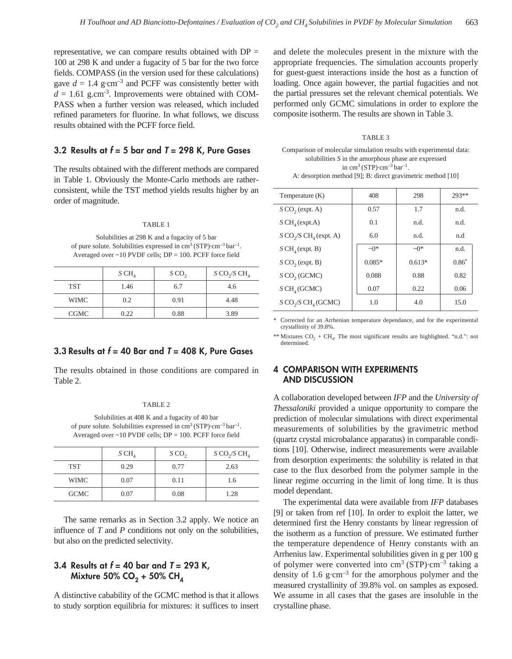representative, we can compare results obtained with  $DP =$ 100 at 298 K and under a fugacity of 5 bar for the two force fields. COMPASS (in the version used for these calculations) gave  $d = 1.4$  g·cm<sup>-3</sup> and PCFF was consistently better with  $d = 1.61$  g.cm<sup>-3</sup>. Improvements were obtained with COM-PASS when a further version was released, which included refined parameters for fluorine. In what follows, we discuss results obtained with the PCFF force field.

# **3.2 Results at** *f* **= 5 bar and** *T* **= 298 K, Pure Gases**

The results obtained with the different methods are compared in Table 1. Obviously the Monte-Carlo methods are ratherconsistent, while the TST method yields results higher by an order of magnitude.

#### TABLE 1

Solubilities at 298 K and a fugacity of 5 bar of pure solute. Solubilities expressed in  $\text{cm}^3 \text{(STP)} \cdot \text{cm}^{-3} \text{bar}^{-1}$ . Averaged over  $\sim$  10 PVDF cells; DP = 100. PCFF force field

|             | SCH <sub>4</sub> | SCO <sub>2</sub> | S CO <sub>2</sub> /S CH <sub>4</sub> |
|-------------|------------------|------------------|--------------------------------------|
| <b>TST</b>  | 1.46             | 6.7              | 4.6                                  |
| <b>WIMC</b> | 0.2              | 0.91             | 4.48                                 |
| <b>CGMC</b> | 0.22             | 0.88             | 3.89                                 |

# **3.3 Results at** *f* **= 40 Bar and** *T* **= 408 K, Pure Gases**

The results obtained in those conditions are compared in Table 2.

#### TABLE 2

Solubilities at 408 K and a fugacity of 40 bar of pure solute. Solubilities expressed in  $\text{cm}^3 \text{(STP)} \cdot \text{cm}^{-3} \text{ bar}^{-1}$ . Averaged over ~10 PVDF cells; DP = 100. PCFF force field

|             | SCH <sub>4</sub> | SCO <sub>2</sub> | S CO <sub>2</sub> /S CH <sub>4</sub> |
|-------------|------------------|------------------|--------------------------------------|
| <b>TST</b>  | 0.29             | 0.77             | 2.63                                 |
| <b>WIMC</b> | 0.07             | 0.11             | 1.6                                  |
| <b>GCMC</b> | 0.07             | 0.08             | 1.28                                 |

The same remarks as in Section 3.2 apply. We notice an influence of *T* and *P* conditions not only on the solubilities, but also on the predicted selectivity.

# **3.4 Results at** *f* **= 40 bar and** *T* **= 293 K, Mixture 50% CO<sub>2</sub> + 50% CH<sub>4</sub>**

A distinctive cabability of the GCMC method is that it allows to study sorption equilibria for mixtures: it suffices to insert and delete the molecules present in the mixture with the appropriate frequencies. The simulation accounts properly for guest-guest interactions inside the host as a function of loading. Once again however, the partial fugacities and not the partial pressures set the relevant chemical potentials. We performed only GCMC simulations in order to explore the composite isotherm. The results are shown in Table 3.

#### TABLE 3

Comparison of molecular simulation results with experimental data: solubilities *S* in the amorphous phase are expressed in cm<sup>3</sup> (STP)·cm<sup>-3</sup> bar<sup>-1</sup>. A: desorption method [9]; B: direct gravimetric method [10]

| Temperature (K)                                  | 408        | 298        | $293**$ |
|--------------------------------------------------|------------|------------|---------|
| $S$ CO <sub>2</sub> (expt. A)                    | 0.57       | 1.7        | n.d.    |
| SCH <sub>4</sub> (expt.A)                        | 0.1        | n.d.       | n.d.    |
| $S$ CO <sub>2</sub> /S CH <sub>4</sub> (expt. A) | 6.0        | n.d.       | n.d     |
| SCH <sub>4</sub> (expt. B)                       | $\sim 0$ * | $\sim 0$ * | n.d.    |
| $S$ CO <sub>2</sub> (expt. B)                    | $0.085*$   | $0.613*$   | $0.86*$ |
| $S$ CO <sub>2</sub> (GCMC)                       | 0.088      | 0.88       | 0.82    |
| SCH <sub>4</sub> (GCMC)                          | 0.07       | 0.22       | 0.06    |
| $S$ CO <sub>2</sub> /S CH <sub>4</sub> (GCMC)    | 1.0        | 4.0        | 15.0    |

Corrected for an Arrhenian temperature dependance, and for the experimental crystallinity of 39.8%.

\*\* Mixtures  $CO_2 + CH_4$ . The most significant results are highlighted. "n.d.": not determined.

# **4 COMPARISON WITH EXPERIMENTS AND DISCUSSION**

A collaboration developed between *IFP* and the *University of Thessaloniki* provided a unique opportunity to compare the prediction of molecular simulations with direct experimental measurements of solubilities by the gravimetric method (quartz crystal microbalance apparatus) in comparable conditions [10]. Otherwise, indirect measurements were available from desorption experiments: the solubility is related in that case to the flux desorbed from the polymer sample in the linear regime occurring in the limit of long time. It is thus model dependant.

The experimental data were available from *IFP* databases [9] or taken from ref [10]. In order to exploit the latter, we determined first the Henry constants by linear regression of the isotherm as a function of pressure. We estimated further the temperature dependence of Henry constants with an Arrhenius law. Experimental solubilities given in g per 100 g of polymer were converted into  $cm<sup>3</sup> (STP) \cdot cm<sup>-3</sup>$  taking a density of 1.6 g·cm<sup>-3</sup> for the amorphous polymer and the measured crystallinity of 39.8% vol. on samples as exposed. We assume in all cases that the gases are insoluble in the crystalline phase.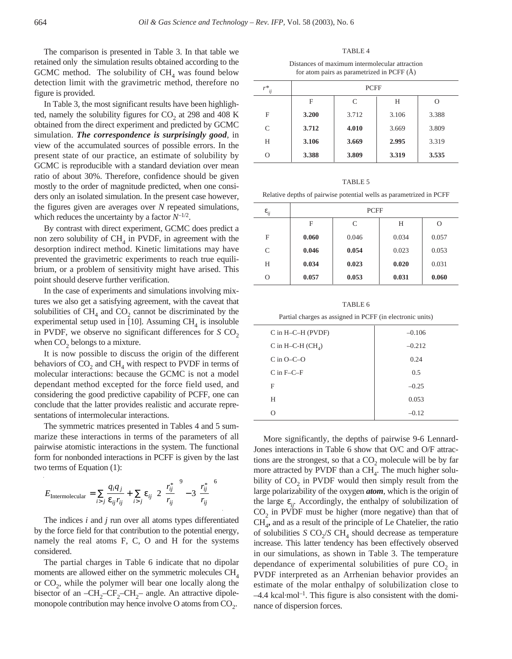The comparison is presented in Table 3. In that table we retained only the simulation results obtained according to the GCMC method. The solubility of  $CH<sub>4</sub>$  was found below detection limit with the gravimetric method, therefore no figure is provided.

In Table 3, the most significant results have been highlighted, namely the solubility figures for  $CO<sub>2</sub>$  at 298 and 408 K obtained from the direct experiment and predicted by GCMC simulation. *The correspondence is surprisingly good*, in view of the accumulated sources of possible errors. In the present state of our practice, an estimate of solubility by GCMC is reproducible with a standard deviation over mean ratio of about 30%. Therefore, confidence should be given mostly to the order of magnitude predicted, when one considers only an isolated simulation. In the present case however, the figures given are averages over *N* repeated simulations, which reduces the uncertainty by a factor  $N^{-1/2}$ .

By contrast with direct experiment, GCMC does predict a non zero solubility of  $CH<sub>4</sub>$  in PVDF, in agreement with the desorption indirect method. Kinetic limitations may have prevented the gravimetric experiments to reach true equilibrium, or a problem of sensitivity might have arised. This point should deserve further verification.

In the case of experiments and simulations involving mixtures we also get a satisfying agreement, with the caveat that solubilities of  $\text{CH}_4$  and  $\text{CO}_2$  cannot be discriminated by the experimental setup used in [10]. Assuming  $CH<sub>4</sub>$  is insoluble in PVDF, we observe no significant differences for  $S \text{CO}_2$ when  $CO<sub>2</sub>$  belongs to a mixture.

It is now possible to discuss the origin of the different behaviors of  $CO<sub>2</sub>$  and  $CH<sub>4</sub>$  with respect to PVDF in terms of molecular interactions: because the GCMC is not a model dependant method excepted for the force field used, and considering the good predictive capability of PCFF, one can conclude that the latter provides realistic and accurate representations of intermolecular interactions.

The symmetric matrices presented in Tables 4 and 5 summarize these interactions in terms of the parameters of all pairwise atomistic interactions in the system. The functional form for nonbonded interactions in PCFF is given by the last two terms of Equation (1):

$$
E_{\text{Intermolecular}} = \sum_{i>j} \frac{q_i q_j}{\varepsilon_{ij} r_{ij}} + \sum_{i>j} \varepsilon_{ij} \left[ 2 \left( \frac{r_{ij}^*}{r_{ij}} \right)^9 - 3 \left( \frac{r_{ij}^*}{r_{ij}} \right)^6 \right]
$$

The indices *i* and *j* run over all atoms types differentiated by the force field for that contribution to the potential energy, namely the real atoms F, C, O and H for the systems considered.

The partial charges in Table 6 indicate that no dipolar moments are allowed either on the symmetric molecules  $CH<sub>4</sub>$ or  $CO<sub>2</sub>$ , while the polymer will bear one locally along the bisector of an  $-CH_2-CF_2-CH_2$ – angle. An attractive dipolemonopole contribution may hence involve O atoms from  $CO<sub>2</sub>$ .

TABLE 4 Distances of maximum intermolecular attraction for atom pairs as parametrized in PCFF (Å)

| $r^*$<br>ij | <b>PCFF</b> |       |       |       |
|-------------|-------------|-------|-------|-------|
|             | F           | C     | Н     |       |
| F           | 3.200       | 3.712 | 3.106 | 3.388 |
| C           | 3.712       | 4.010 | 3.669 | 3.809 |
| Н           | 3.106       | 3.669 | 2.995 | 3.319 |
|             | 3.388       | 3.809 | 3.319 | 3.535 |

| v<br>۰. |
|---------|
|---------|

Relative depths of pairwise potential wells as parametrized in PCFF

| $\varepsilon_{ij}$ | <b>PCFF</b> |       |       |       |
|--------------------|-------------|-------|-------|-------|
|                    | F           | C     | Н     | O     |
| F                  | 0.060       | 0.046 | 0.034 | 0.057 |
| C                  | 0.046       | 0.054 | 0.023 | 0.053 |
| Н                  | 0.034       | 0.023 | 0.020 | 0.031 |
| ∩                  | 0.057       | 0.053 | 0.031 | 0.060 |

| TABLE 6                                                   |
|-----------------------------------------------------------|
| Partial charges as assigned in PCFF (in electronic units) |

| $C$ in $H-C-H$ (PVDF) | $-0.106$ |
|-----------------------|----------|
| C in H-C-H $(CH_4)$   | $-0.212$ |
| $C$ in $O-C-O$        | 0.24     |
| $C$ in $F-C-F$        | 0.5      |
| F                     | $-0.25$  |
| H                     | 0.053    |
| O                     | $-0.12$  |

More significantly, the depths of pairwise 9-6 Lennard-Jones interactions in Table 6 show that O/C and O/F attractions are the strongest, so that a  $CO<sub>2</sub>$  molecule will be by far more attracted by PVDF than a  $CH<sub>4</sub>$ . The much higher solubility of  $CO<sub>2</sub>$  in PVDF would then simply result from the large polarizability of the oxygen *atom*, which is the origin of the large  $\varepsilon_{ii}$ . Accordingly, the enthalpy of solubilization of  $CO<sub>2</sub>$  in PVDF must be higher (more negative) than that of  $CH<sub>A</sub>$ , and as a result of the principle of Le Chatelier, the ratio of solubilities *S*  $CO<sub>2</sub>/S CH<sub>4</sub>$  should decrease as temperature increase. This latter tendency has been effectively observed in our simulations, as shown in Table 3. The temperature dependance of experimental solubilities of pure  $CO<sub>2</sub>$  in PVDF interpreted as an Arrhenian behavior provides an estimate of the molar enthalpy of solubilization close to  $-4.4$  kcal·mol<sup>-1</sup>. This figure is also consistent with the dominance of dispersion forces.